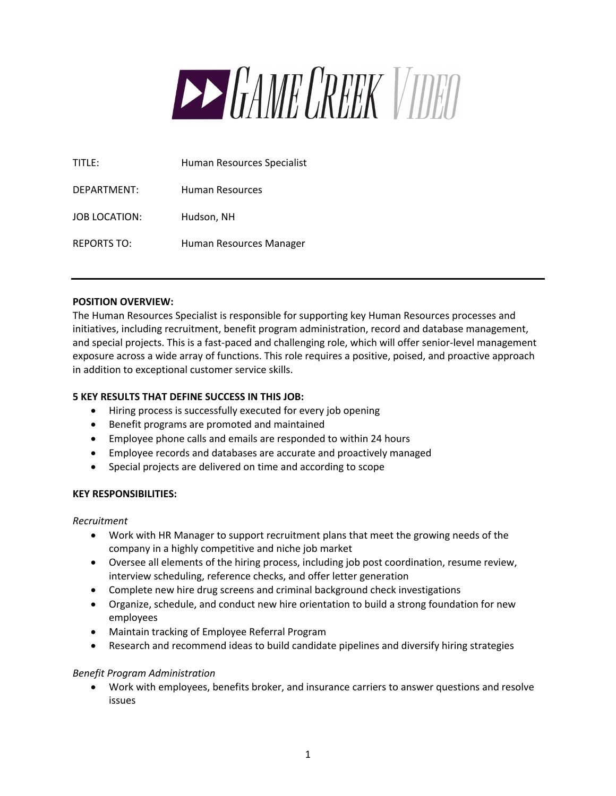

| TITLE:               | Human Resources Specialist |
|----------------------|----------------------------|
| DEPARTMENT:          | Human Resources            |
| <b>JOB LOCATION:</b> | Hudson, NH                 |
| <b>REPORTS TO:</b>   | Human Resources Manager    |

## **POSITION OVERVIEW:**

The Human Resources Specialist is responsible for supporting key Human Resources processes and initiatives, including recruitment, benefit program administration, record and database management, and special projects. This is a fast-paced and challenging role, which will offer senior-level management exposure across a wide array of functions. This role requires a positive, poised, and proactive approach in addition to exceptional customer service skills.

### **5 KEY RESULTS THAT DEFINE SUCCESS IN THIS JOB:**

- Hiring process is successfully executed for every job opening
- Benefit programs are promoted and maintained
- Employee phone calls and emails are responded to within 24 hours
- Employee records and databases are accurate and proactively managed
- Special projects are delivered on time and according to scope

### **KEY RESPONSIBILITIES:**

*Recruitment*

- Work with HR Manager to support recruitment plans that meet the growing needs of the company in a highly competitive and niche job market
- Oversee all elements of the hiring process, including job post coordination, resume review, interview scheduling, reference checks, and offer letter generation
- Complete new hire drug screens and criminal background check investigations
- Organize, schedule, and conduct new hire orientation to build a strong foundation for new employees
- Maintain tracking of Employee Referral Program
- Research and recommend ideas to build candidate pipelines and diversify hiring strategies

### *Benefit Program Administration*

• Work with employees, benefits broker, and insurance carriers to answer questions and resolve issues